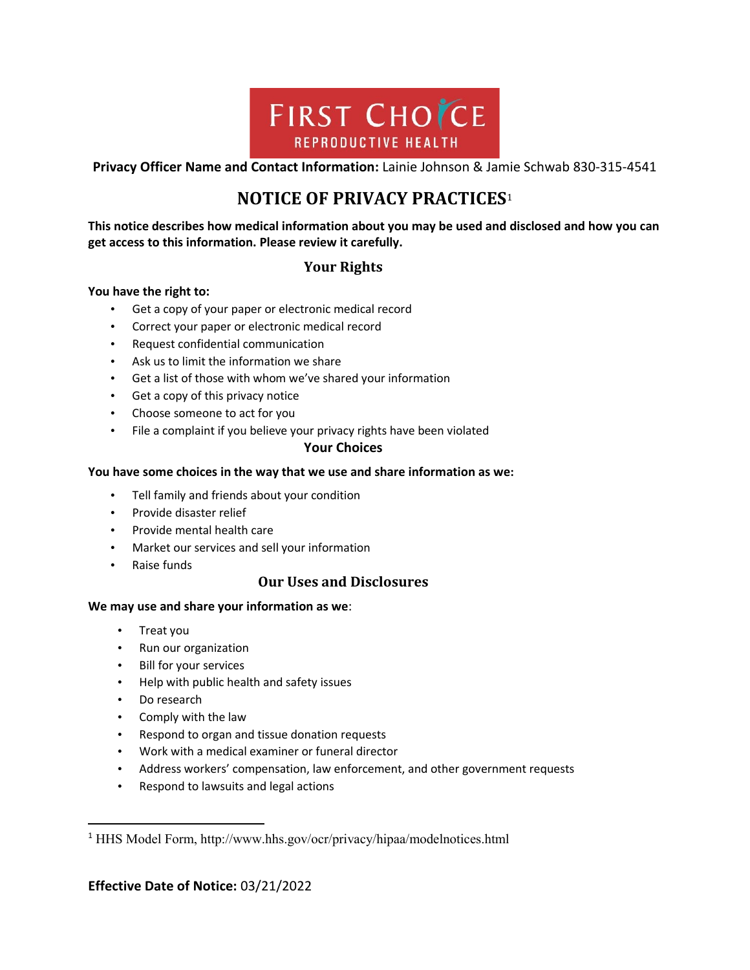# FIRST CHOICE **REPRODUCTIVE HEALTH**

**Privacy Officer Name and Contact Information:** Lainie Johnson & Jamie Schwab 830-315-4541

# **NOTICE OF PRIVACY PRACTICES**[1](#page-0-0)

**This notice describes how medical information about you may be used and disclosed and how you can get access to this information. Please review it carefully.**

### **Your Rights**

### **You have the right to:**

- Get a copy of your paper or electronic medical record
- Correct your paper or electronic medical record
- Request confidential communication
- Ask us to limit the information we share
- Get a list of those with whom we've shared your information
- Get a copy of this privacy notice
- Choose someone to act for you
- File a complaint if you believe your privacy rights have been violated

### **Your Choices**

### **You have some choices in the way that we use and share information as we:**

- Tell family and friends about your condition
- Provide disaster relief
- Provide mental health care
- Market our services and sell your information
- Raise funds

### **Our Uses and Disclosures**

### **We may use and share your information as we**:

- Treat you
- Run our organization
- Bill for your services
- Help with public health and safety issues
- Do research
- Comply with the law
- Respond to organ and tissue donation requests
- Work with a medical examiner or funeral director
- Address workers' compensation, law enforcement, and other government requests
- Respond to lawsuits and legal actions

<span id="page-0-0"></span> <sup>1</sup> HHS Model Form, http://www.hhs.gov/ocr/privacy/hipaa/modelnotices.html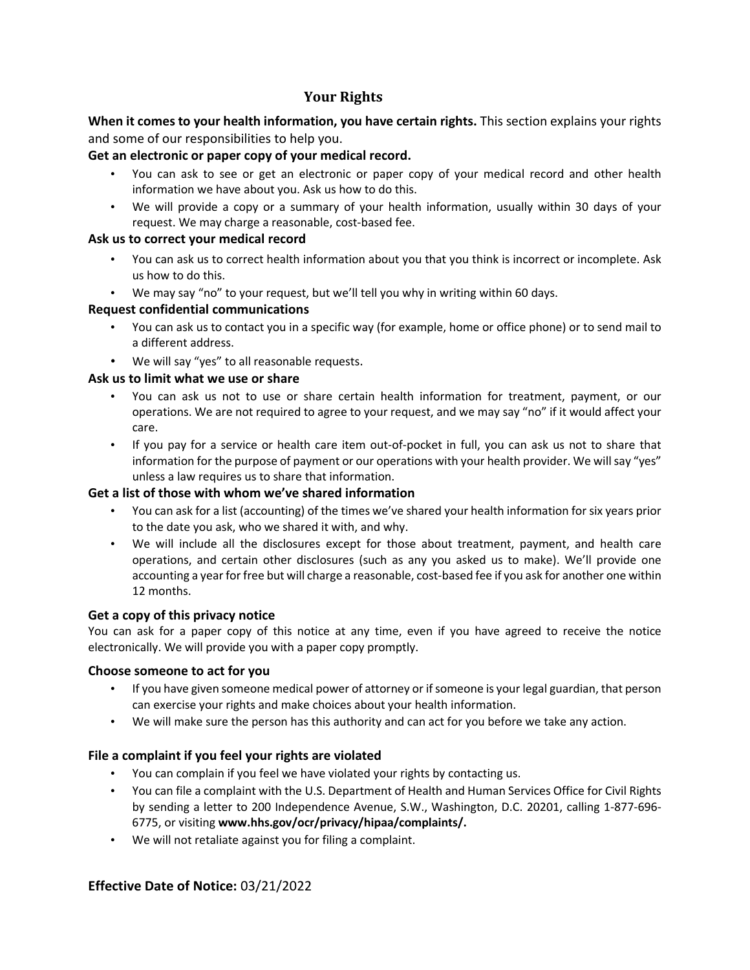### **Your Rights**

**When it comes to your health information, you have certain rights.** This section explains your rights and some of our responsibilities to help you.

### **Get an electronic or paper copy of your medical record.**

- You can ask to see or get an electronic or paper copy of your medical record and other health information we have about you. Ask us how to do this.
- We will provide a copy or a summary of your health information, usually within 30 days of your request. We may charge a reasonable, cost-based fee.

### **Ask us to correct your medical record**

- You can ask us to correct health information about you that you think is incorrect or incomplete. Ask us how to do this.
- We may say "no" to your request, but we'll tell you why in writing within 60 days.

### **Request confidential communications**

- You can ask us to contact you in a specific way (for example, home or office phone) or to send mail to a different address.
- We will say "yes" to all reasonable requests.

### **Ask us to limit what we use or share**

- You can ask us not to use or share certain health information for treatment, payment, or our operations. We are not required to agree to your request, and we may say "no" if it would affect your care.
- If you pay for a service or health care item out-of-pocket in full, you can ask us not to share that information for the purpose of payment or our operations with your health provider. We will say "yes" unless a law requires us to share that information.

### **Get a list of those with whom we've shared information**

- You can ask for a list (accounting) of the times we've shared your health information for six years prior to the date you ask, who we shared it with, and why.
- We will include all the disclosures except for those about treatment, payment, and health care operations, and certain other disclosures (such as any you asked us to make). We'll provide one accounting a year for free but will charge a reasonable, cost-based fee if you ask for another one within 12 months.

### **Get a copy of this privacy notice**

You can ask for a paper copy of this notice at any time, even if you have agreed to receive the notice electronically. We will provide you with a paper copy promptly.

### **Choose someone to act for you**

- If you have given someone medical power of attorney or if someone is your legal guardian, that person can exercise your rights and make choices about your health information.
- We will make sure the person has this authority and can act for you before we take any action.

### **File a complaint if you feel your rights are violated**

- You can complain if you feel we have violated your rights by contacting us.
- You can file a complaint with the U.S. Department of Health and Human Services Office for Civil Rights by sending a letter to 200 Independence Avenue, S.W., Washington, D.C. 20201, calling 1-877-696- 6775, or visiting **www.hhs.gov/ocr/privacy/hipaa/complaints/.**
- We will not retaliate against you for filing a complaint.

### **Effective Date of Notice:** 03/21/2022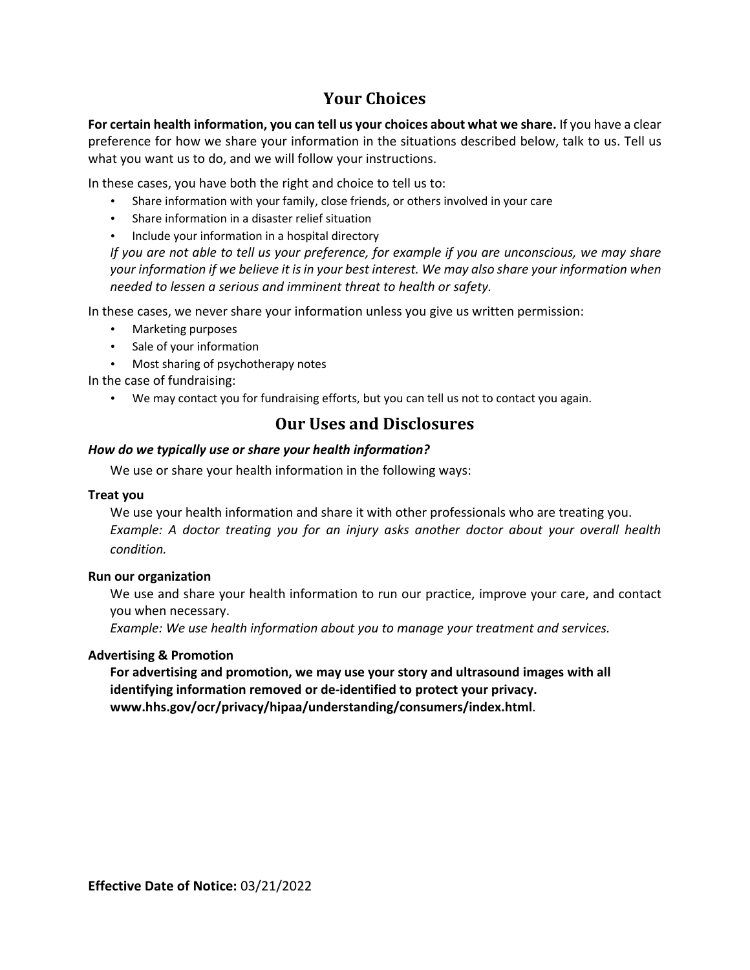## **Your Choices**

**For certain health information, you can tell us your choices about what we share.** If you have a clear preference for how we share your information in the situations described below, talk to us. Tell us what you want us to do, and we will follow your instructions.

In these cases, you have both the right and choice to tell us to:

- Share information with your family, close friends, or others involved in your care
- Share information in a disaster relief situation
- Include your information in a hospital directory

*If you are not able to tell us your preference, for example if you are unconscious, we may share your information if we believe it is in your best interest. We may also share your information when needed to lessen a serious and imminent threat to health or safety.*

In these cases, we never share your information unless you give us written permission:

- Marketing purposes
- Sale of your information
- Most sharing of psychotherapy notes

In the case of fundraising:

• We may contact you for fundraising efforts, but you can tell us not to contact you again.

### **Our Uses and Disclosures**

### *How do we typically use or share your health information?*

We use or share your health information in the following ways:

### **Treat you**

We use your health information and share it with other professionals who are treating you. *Example: A doctor treating you for an injury asks another doctor about your overall health condition.*

### **Run our organization**

We use and share your health information to run our practice, improve your care, and contact you when necessary.

*Example: We use health information about you to manage your treatment and services.* 

### **Advertising & Promotion**

**For advertising and promotion, we may use your story and ultrasound images with all identifying information removed or de-identified to protect your privacy. www.hhs.gov/ocr/privacy/hipaa/understanding/consumers/index.html**.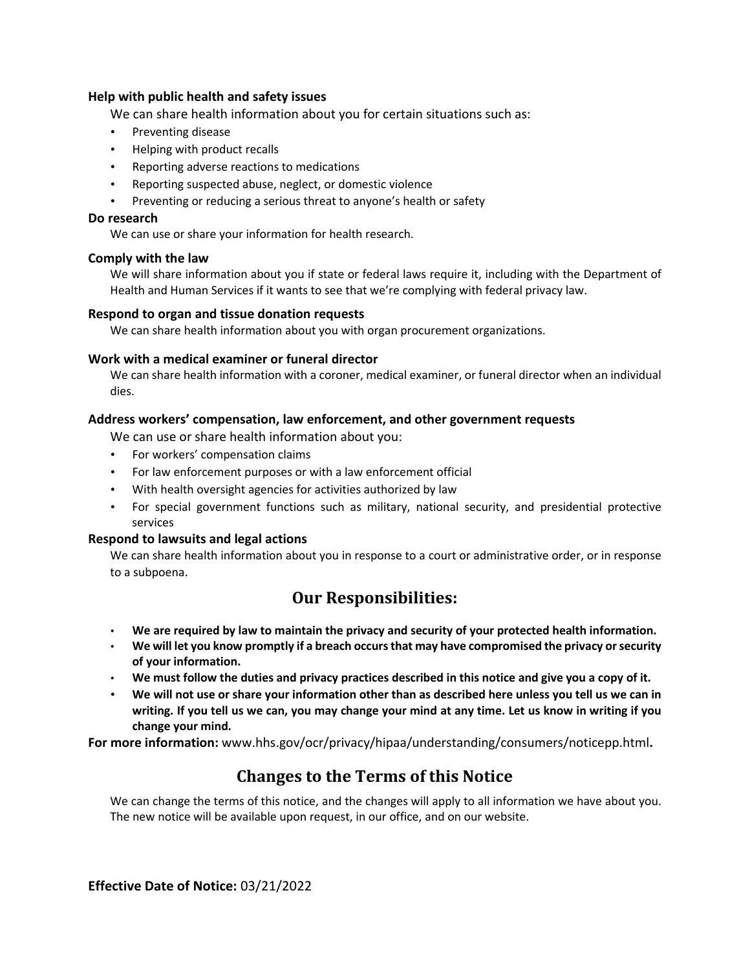#### **Help with public health and safety issues**

We can share health information about you for certain situations such as:

- Preventing disease
- Helping with product recalls
- Reporting adverse reactions to medications
- Reporting suspected abuse, neglect, or domestic violence
- Preventing or reducing a serious threat to anyone's health or safety

#### **Do research**

We can use or share your information for health research.

#### **Comply with the law**

We will share information about you if state or federal laws require it, including with the Department of Health and Human Services if it wants to see that we're complying with federal privacy law.

#### **Respond to organ and tissue donation requests**

We can share health information about you with organ procurement organizations.

#### **Work with a medical examiner or funeral director**

We can share health information with a coroner, medical examiner, or funeral director when an individual dies.

#### **Address workers' compensation, law enforcement, and other government requests**

We can use or share health information about you:

- For workers' compensation claims
- For law enforcement purposes or with a law enforcement official
- With health oversight agencies for activities authorized by law
- For special government functions such as military, national security, and presidential protective services

#### **Respond to lawsuits and legal actions**

We can share health information about you in response to a court or administrative order, or in response to a subpoena.

### **Our Responsibilities:**

- **We are required by law to maintain the privacy and security of your protected health information.**
- **We will let you know promptly if a breach occurs that may have compromised the privacy or security of your information.**
- **We must follow the duties and privacy practices described in this notice and give you a copy of it.**
- **We will not use or share your information other than as described here unless you tell us we can in writing. If you tell us we can, you may change your mind at any time. Let us know in writing if you change your mind.**

**For more information:** www.hhs.gov/ocr/privacy/hipaa/understanding/consumers/noticepp.html**.**

### **Changes to the Terms of this Notice**

We can change the terms of this notice, and the changes will apply to all information we have about you. The new notice will be available upon request, in our office, and on our website.